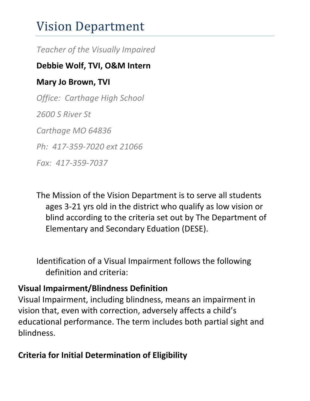# Vision Department

*Teacher of the Visually Impaired*

#### **Debbie Wolf, TVI, O&M Intern**

## **Mary Jo Brown, TVI**

*Office: Carthage High School 2600 S River St Carthage MO 64836 Ph: 417-359-7020 ext 21066 Fax: 417-359-7037*

The Mission of the Vision Department is to serve all students ages 3-21 yrs old in the district who qualify as low vision or blind according to the criteria set out by The Department of Elementary and Secondary Eduation (DESE).

Identification of a Visual Impairment follows the following definition and criteria:

### **Visual Impairment/Blindness Definition**

Visual Impairment, including blindness, means an impairment in vision that, even with correction, adversely affects a child's educational performance. The term includes both partial sight and blindness.

# **Criteria for Initial Determination of Eligibility**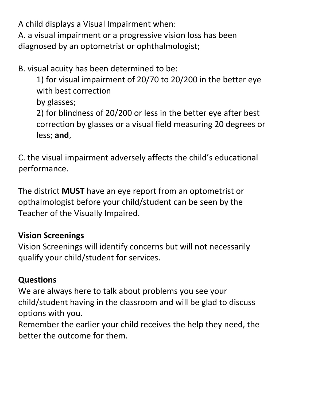A child displays a Visual Impairment when: A. a visual impairment or a progressive vision loss has been diagnosed by an optometrist or ophthalmologist;

B. visual acuity has been determined to be:

1) for visual impairment of 20/70 to 20/200 in the better eye with best correction

by glasses;

2) for blindness of 20/200 or less in the better eye after best correction by glasses or a visual field measuring 20 degrees or less; **and**,

C. the visual impairment adversely affects the child's educational performance.

The district **MUST** have an eye report from an optometrist or opthalmologist before your child/student can be seen by the Teacher of the Visually Impaired.

# **Vision Screenings**

Vision Screenings will identify concerns but will not necessarily qualify your child/student for services.

# **Questions**

We are always here to talk about problems you see your child/student having in the classroom and will be glad to discuss options with you.

Remember the earlier your child receives the help they need, the better the outcome for them.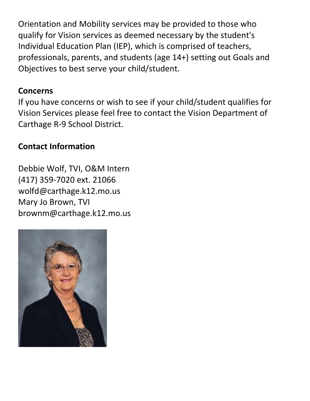Orientation and Mobility services may be provided to those who qualify for Vision services as deemed necessary by the student's Individual Education Plan (IEP), which is comprised of teachers, professionals, parents, and students (age 14+) setting out Goals and Objectives to best serve your child/student.

#### **Concerns**

If you have concerns or wish to see if your child/student qualifies for Vision Services please feel free to contact the Vision Department of Carthage R-9 School District.

### **Contact Information**

Debbie Wolf, TVI, O&M Intern (417) 359-7020 ext. 21066 wolfd@carthage.k12.mo.us Mary Jo Brown, TVI brownm@carthage.k12.mo.us